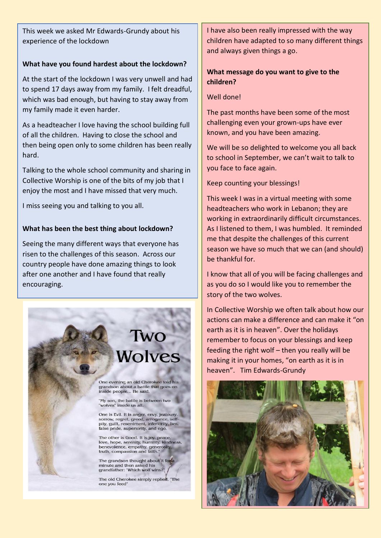This week we asked Mr Edwards-Grundy about his experience of the lockdown

#### **What have you found hardest about the lockdown?**

At the start of the lockdown I was very unwell and had to spend 17 days away from my family. I felt dreadful, which was bad enough, but having to stay away from my family made it even harder.

As a headteacher I love having the school building full of all the children. Having to close the school and then being open only to some children has been really hard.

Talking to the whole school community and sharing in Collective Worship is one of the bits of my job that I enjoy the most and I have missed that very much.

I miss seeing you and talking to you all.

### **What has been the best thing about lockdown?**

Seeing the many different ways that everyone has risen to the challenges of this season. Across our country people have done amazing things to look after one another and I have found that really encouraging.



I have also been really impressed with the way children have adapted to so many different things and always given things a go.

# **What message do you want to give to the children?**

# Well done!

The past months have been some of the most challenging even your grown-ups have ever known, and you have been amazing.

We will be so delighted to welcome you all back to school in September, we can't wait to talk to you face to face again.

Keep counting your blessings!

This week I was in a virtual meeting with some headteachers who work in Lebanon; they are working in extraordinarily difficult circumstances. As I listened to them, I was humbled. It reminded me that despite the challenges of this current season we have so much that we can (and should) be thankful for.

I know that all of you will be facing challenges and as you do so I would like you to remember the story of the two wolves.

In Collective Worship we often talk about how our actions can make a difference and can make it "on earth as it is in heaven". Over the holidays remember to focus on your blessings and keep feeding the right wolf – then you really will be making it in your homes, "on earth as it is in heaven". Tim Edwards-Grundy

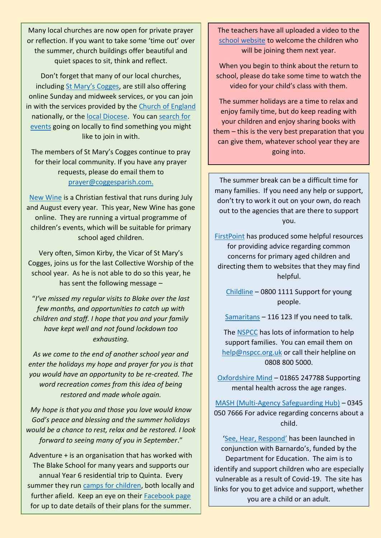Many local churches are now open for private prayer or reflection. If you want to take some 'time out' over the summer, church buildings offer beautiful and quiet spaces to sit, think and reflect.

Don't forget that many of our local churches, including [St Mary's Cogges](https://coggesparish.com/sundays), are still also offering online Sunday and midweek services, or you can join in with the services provided by the [Church of England](https://www.churchofengland.org/more/media-centre/church-online/weekly-online-services) nationally, or the [local Diocese.](https://www.oxford.anglican.org/coronavirus-covid-19-2/livestream/) You can [search for](https://www.achurchnearyou.com/)  [events](https://www.achurchnearyou.com/) going on locally to find something you might like to join in with.

The members of St Mary's Cogges continue to pray for their local community. If you have any prayer requests, please do email them to [prayer@coggesparish.com.](mailto:prayer@coggesparish.com)

[New Wine](https://www.new-wine.org/breaksout) is a Christian festival that runs during July and August every year. This year, New Wine has gone online. They are running a virtual programme of children's events, which will be suitable for primary school aged children.

Very often, Simon Kirby, the Vicar of St Mary's Cogges, joins us for the last Collective Worship of the school year. As he is not able to do so this year, he has sent the following message –

"*I've missed my regular visits to Blake over the last few months, and opportunities to catch up with children and staff. I hope that you and your family have kept well and not found lockdown too exhausting.* 

*As we come to the end of another school year and enter the holidays my hope and prayer for you is that you would have an opportunity to be re-created. The word recreation comes from this idea of being restored and made whole again.* 

*My hope is that you and those you love would know God's peace and blessing and the summer holidays would be a chance to rest, relax and be restored. I look forward to seeing many of you in September*."

Adventure + is an organisation that has worked with The Blake School for many years and supports our annual Year 6 residential trip to Quinta. Every summer they run [camps for children,](https://www.adventureplus.org.uk/what-we-do/total-adventure/ta-summer-8-12) both locally and further afield. Keep an eye on their [Facebook page](https://www.facebook.com/AdventurePlusUK/) for up to date details of their plans for the summer.

The teachers have all uploaded a video to the [school website](https://www.blake.oxon.sch.uk/website/new_classes_for_september_2020/497603) to welcome the children who will be joining them next year.

When you begin to think about the return to school, please do take some time to watch the video for your child's class with them.

The summer holidays are a time to relax and enjoy family time, but do keep reading with your children and enjoy sharing books with them – this is the very best preparation that you can give them, whatever school year they are going into.

The summer break can be a difficult time for many families. If you need any help or support, don't try to work it out on your own, do reach out to the agencies that are there to support you.

[FirstPoint](https://www.impsweb.co.uk/kidszone/firstpoint/) has produced some helpful resources for providing advice regarding common concerns for primary aged children and directing them to websites that they may find helpful.

[Childline](http://www.childline.org.uk/) – 0800 1111 Support for young people.

[Samaritans](https://www.samaritans.org/) – 116 123 If you need to talk.

The [NSPCC](https://www.nspcc.org.uk/keeping-children-safe/coronavirus-advice-suppport-children-families-parents/?utm_source=Adestra&utm_medium=email&utm_content=Advice%20on%20how%20to%20support%20children%20during%20the%20coronavirus&utm_campaign=COVID-19%20Loyalty%20EM%203%20%2AE0623) has lots of information to help support families. You can email them on [help@nspcc.org.uk](mailto:help@nspcc.org.uk) or call their helpline on 0808 800 5000.

[Oxfordshire Mind](http://www.oxfordshiremind.org.uk/) – 01865 247788 Supporting mental health across the age ranges.

[MASH \(Multi-Agency Safeguarding Hub\)](https://www.oxfordshire.gov.uk/business/information-providers/multi-agency-safeguarding-hub) – 0345 050 7666 For advice regarding concerns about a child.

['See, Hear, Respond'](https://www.barnardos.org.uk/see-hear-respond?es_c=5CBAFA3E23A903C9D6299BA5B2886DF6&es_cl=F76221916A724800F1E3B9A476C58F6E&es_id=9d%c2%a3o3) has been launched in conjunction with Barnardo's, funded by the Department for Education. The aim is to identify and support children who are especially vulnerable as a result of Covid-19. The site has links for you to get advice and support, whether you are a child or an adult.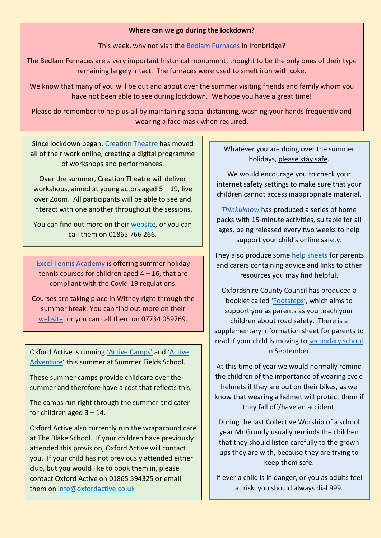#### **Where can we go during the lockdown?**

This week, why not visit the [Bedlam Furnaces](https://50buildings.telford.gov.uk/virtual-tour-locations/bedlam-furnaces-ironbridge) in Ironbridge?

The Bedlam Furnaces are a very important historical monument, thought to be the only ones of their type remaining largely intact. The furnaces were used to smelt iron with coke.

We know that many of you will be out and about over the summer visiting friends and family whom you have not been able to see during lockdown. We hope you have a great time!

Please do remember to help us all by maintaining social distancing, washing your hands frequently and wearing a face mask when required.

Since lockdown began, [Creation Theatre](https://drive.google.com/file/d/1JGafa8biVUShAF79PCYS9apexZRdDoRJ/view?usp=sharing) has moved all of their work online, creating a digital programme of workshops and performances.

Over the summer, Creation Theatre will deliver workshops, aimed at young actors aged 5 – 19, live over Zoom. All participants will be able to see and interact with one another throughout the sessions.

You can find out more on their [website,](http://www.creationtheatre.co.uk/) or you can call them on 01865 766 266.

[Excel Tennis Academy](https://drive.google.com/file/d/1c4syVWzIW-pll2LX0vLUNv70n8cnoZ71/view?usp=sharing) is offering summer holiday tennis courses for children aged  $4 - 16$ , that are compliant with the Covid-19 regulations.

Courses are taking place in Witney right through the summer break. You can find out more on their [website,](http://www.exceltennisacademy.co.uk/) or you can call them on 07734 059769.

Oxford Active is running ['Active Camps'](https://drive.google.com/file/d/1RMSPpzTiWjV_cK2sXNctzBg0LbUxh8DN/view?usp=sharing) and '[Active](https://drive.google.com/file/d/11zd4A48MZGHgMMyE2Y-Q-rFjXKzONiWg/view?usp=sharing)  [Adventure](https://drive.google.com/file/d/11zd4A48MZGHgMMyE2Y-Q-rFjXKzONiWg/view?usp=sharing)' this summer at Summer Fields School.

These summer camps provide childcare over the summer and therefore have a cost that reflects this.

The camps run right through the summer and cater for children aged  $3 - 14$ .

Oxford Active also currently run the wraparound care at The Blake School. If your children have previously attended this provision, Oxford Active will contact you. If your child has not previously attended either club, but you would like to book them in, please contact Oxford Active on 01865 594325 or email them on [info@oxfordactive.co.uk](mailto:info@oxfordactive.co.uk)

Whatever you are doing over the summer holidays, please stay safe.

We would encourage you to check your internet safety settings to make sure that your children cannot access inappropriate material.

*[Thinkuknow](https://www.thinkuknow.co.uk/parents/Support-tools/home-activity-worksheets/)* has produced a series of home packs with 15-minute activities, suitable for all ages, being released every two weeks to help support your child's online safety.

They also produce some [help sheets](https://www.thinkuknow.co.uk/globalassets/thinkuknow/documents/thinkuknow/parents/pdf/thinkuknow-parents-helpsheet-primary.pdf) for parents and carers containing advice and links to other resources you may find helpful.

Oxfordshire County Council has produced a booklet called '[Footsteps](https://drive.google.com/file/d/1_nEnJOgqUzvbpIHwkk_7VKSykXCpEN6A/view?usp=sharing)', which aims to support you as parents as you teach your children about road safety. There is a supplementary information sheet for parents to read if your child is moving to [secondary school](https://drive.google.com/file/d/1-Eau-2XmS84BRC2pY2f0E8PCxulugGX7/view?usp=sharing) in September.

At this time of year we would normally remind the children of the importance of wearing cycle helmets if they are out on their bikes, as we know that wearing a helmet will protect them if they fall off/have an accident.

During the last Collective Worship of a school year Mr Grundy usually reminds the children that they should listen carefully to the grown ups they are with, because they are trying to keep them safe.

If ever a child is in danger, or you as adults feel at risk, you should always dial 999.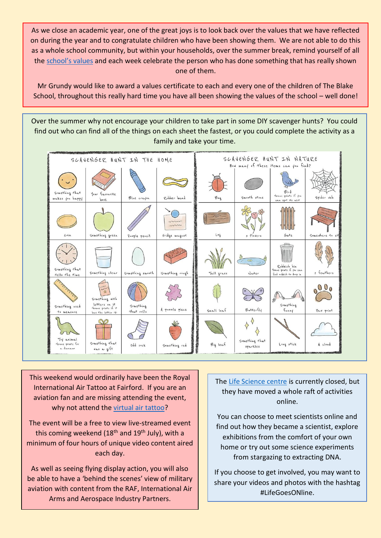As we close an academic year, one of the great joys is to look back over the values that we have reflected on during the year and to congratulate children who have been showing them. We are not able to do this as a whole school community, but within your households, over the summer break, remind yourself of all the [school's values](https://www.blake.oxon.sch.uk/website/our_school_vision_and_values/274813) and each week celebrate the person who has done something that has really shown one of them.

Mr Grundy would like to award a values certificate to each and every one of the children of The Blake School, throughout this really hard time you have all been showing the values of the school – well done!

Over the summer why not encourage your children to take part in some DIY scavenger hunts? You could find out who can find all of the things on each sheet the fastest, or you could complete the activity as a family and take your time.



This weekend would ordinarily have been the Royal International Air Tattoo at Fairford. If you are an aviation fan and are missing attending the event, why not attend the [virtual air tattoo?](https://www.air-shows.org.uk/2020/06/airshow-news-virtual-air-tattoo-launches-for-aviation-fans/)

The event will be a free to view live-streamed event this coming weekend ( $18<sup>th</sup>$  and  $19<sup>th</sup>$  July), with a minimum of four hours of unique video content aired each day.

As well as seeing flying display action, you will also be able to have a 'behind the scenes' view of military aviation with content from the RAF, International Air Arms and Aerospace Industry Partners.

The [Life Science centre](https://www.life.org.uk/life-goes-online?utm_source=facebook&utm_medium=cpc&utm_campaign=lovetolearnjunejuly) is currently closed, but they have moved a whole raft of activities online.

You can choose to meet scientists online and find out how they became a scientist, explore exhibitions from the comfort of your own home or try out some science experiments from stargazing to extracting DNA.

If you choose to get involved, you may want to share your videos and photos with the hashtag #LifeGoesONline.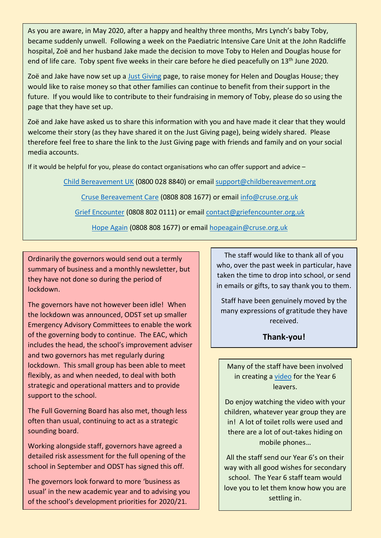As you are aware, in May 2020, after a happy and healthy three months, Mrs Lynch's baby Toby, became suddenly unwell. Following a week on the Paediatric Intensive Care Unit at the John Radcliffe hospital, Zoë and her husband Jake made the decision to move Toby to Helen and Douglas house for end of life care. Toby spent five weeks in their care before he died peacefully on 13<sup>th</sup> June 2020.

Zoë and Jake have now set up a [Just Giving](https://www.justgiving.com/fundraising/tobyslegacy?utm_campaign=lc_frp_share_transaction_fundraiser_page_donation_received_-_nth_donation&utm_content=78d61d40-606e-4a1f-821b-287bad7a0e15&utm_medium=email&utm_source=postoffice&utm_term=1594996395017) page, to raise money for Helen and Douglas House; they would like to raise money so that other families can continue to benefit from their support in the future. If you would like to contribute to their fundraising in memory of Toby, please do so using the page that they have set up.

Zoë and Jake have asked us to share this information with you and have made it clear that they would welcome their story (as they have shared it on the Just Giving page), being widely shared. Please therefore feel free to share the link to the Just Giving page with friends and family and on your social media accounts.

If it would be helpful for you, please do contact organisations who can offer support and advice –

[Child Bereavement UK](https://www.childbereavementuk.org/) (0800 028 8840) or emai[l support@childbereavement.org](mailto:support@childbereavement.org)

[Cruse Bereavement Care](https://www.cruse.org.uk/) (0808 808 1677) or email [info@cruse.org.uk](mailto:info@cruse.org.uk)

[Grief Encounter](https://www.griefencounter.org.uk/young-people/) (0808 802 0111) or email [contact@griefencounter.org.uk](mailto:contact@griefencounter.org.uk)

[Hope Again](https://www.hopeagain.org.uk/) (0808 808 1677) or email [hopeagain@cruse.org.uk](mailto:hopeagain@cruse.org.uk)

Ordinarily the governors would send out a termly summary of business and a monthly newsletter, but they have not done so during the period of lockdown.

The governors have not however been idle! When the lockdown was announced, ODST set up smaller Emergency Advisory Committees to enable the work of the governing body to continue. The EAC, which includes the head, the school's improvement adviser and two governors has met regularly during lockdown. This small group has been able to meet flexibly, as and when needed, to deal with both strategic and operational matters and to provide support to the school.

The Full Governing Board has also met, though less often than usual, continuing to act as a strategic sounding board.

Working alongside staff, governors have agreed a detailed risk assessment for the full opening of the school in September and ODST has signed this off.

The governors look forward to more 'business as usual' in the new academic year and to advising you of the school's development priorities for 2020/21.

The staff would like to thank all of you who, over the past week in particular, have taken the time to drop into school, or send in emails or gifts, to say thank you to them.

Staff have been genuinely moved by the many expressions of gratitude they have received.

**Thank-you!**

Many of the staff have been involved in creating a [video](https://www.blake.oxon.sch.uk/website/goodbye_year_six/500413) for the Year 6 leavers.

Do enjoy watching the video with your children, whatever year group they are in! A lot of toilet rolls were used and there are a lot of out-takes hiding on mobile phones…

All the staff send our Year 6's on their way with all good wishes for secondary school. The Year 6 staff team would love you to let them know how you are settling in.